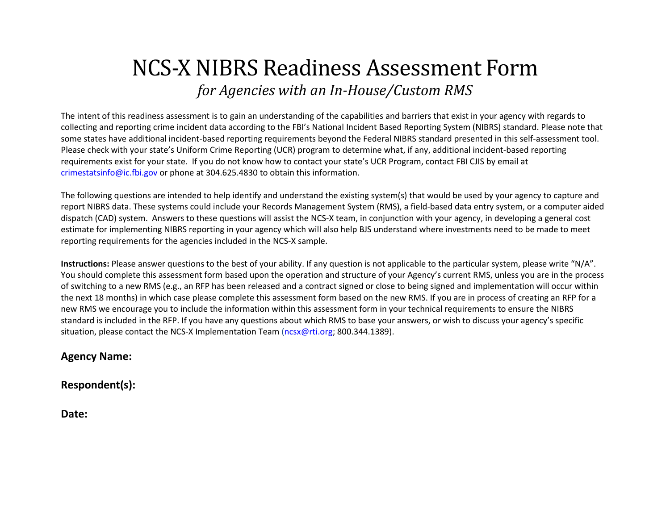# NCS-X NIBRS Readiness Assessment Form *for Agencies with an In-House/Custom RMS*

The intent of this readiness assessment is to gain an understanding of the capabilities and barriers that exist in your agency with regards to collecting and reporting crime incident data according to the FBI's National Incident Based Reporting System (NIBRS) standard. Please note that some states have additional incident-based reporting requirements beyond the Federal NIBRS standard presented in this self-assessment tool. Please check with your state's Uniform Crime Reporting (UCR) program to determine what, if any, additional incident-based reporting requirements exist for your state. If you do not know how to contact your state's UCR Program, contact FBI CJIS by email at [crimestatsinfo@ic.fbi.gov](mailto:crimestatsinfo@ic.fbi.gov) or phone at 304.625.4830 to obtain this information.

The following questions are intended to help identify and understand the existing system(s) that would be used by your agency to capture and report NIBRS data. These systems could include your Records Management System (RMS), a field-based data entry system, or a computer aided dispatch (CAD) system. Answers to these questions will assist the NCS-X team, in conjunction with your agency, in developing a general cost estimate for implementing NIBRS reporting in your agency which will also help BJS understand where investments need to be made to meet reporting requirements for the agencies included in the NCS-X sample.

**Instructions:** Please answer questions to the best of your ability. If any question is not applicable to the particular system, please write "N/A". You should complete this assessment form based upon the operation and structure of your Agency's current RMS, unless you are in the process of switching to a new RMS (e.g., an RFP has been released and a contract signed or close to being signed and implementation will occur within the next 18 months) in which case please complete this assessment form based on the new RMS. If you are in process of creating an RFP for a new RMS we encourage you to include the information within this assessment form in your technical requirements to ensure the NIBRS standard is included in the RFP. If you have any questions about which RMS to base your answers, or wish to discuss your agency's specific situation, please contact the NCS-X Implementation Team [\(ncsx@rti.org;](mailto:ncsx@rti.org) 800.344.1389).

#### **Agency Name:**

**Respondent(s):** 

**Date:**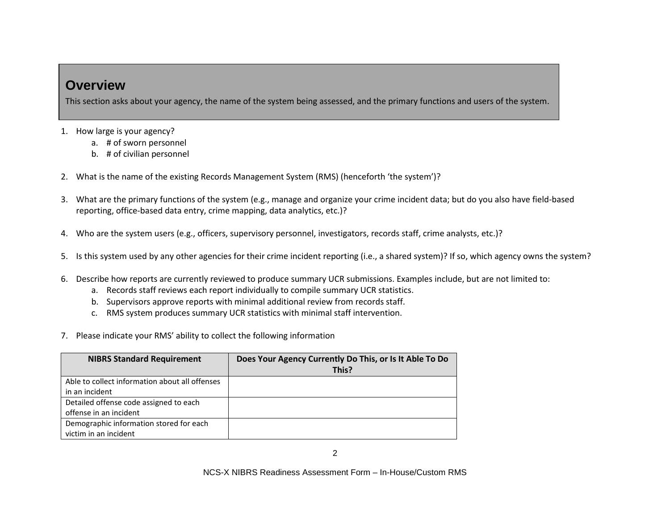#### **Overview**

This section asks about your agency, the name of the system being assessed, and the primary functions and users of the system.

- 1. How large is your agency?
	- a. # of sworn personnel
	- b. # of civilian personnel
- 2. What is the name of the existing Records Management System (RMS) (henceforth 'the system')?
- 3. What are the primary functions of the system (e.g., manage and organize your crime incident data; but do you also have field-based reporting, office-based data entry, crime mapping, data analytics, etc.)?
- 4. Who are the system users (e.g., officers, supervisory personnel, investigators, records staff, crime analysts, etc.)?
- 5. Is this system used by any other agencies for their crime incident reporting (i.e., a shared system)? If so, which agency owns the system?
- 6. Describe how reports are currently reviewed to produce summary UCR submissions. Examples include, but are not limited to:
	- a. Records staff reviews each report individually to compile summary UCR statistics.
	- b. Supervisors approve reports with minimal additional review from records staff.
	- c. RMS system produces summary UCR statistics with minimal staff intervention.
- 7. Please indicate your RMS' ability to collect the following information

| <b>NIBRS Standard Requirement</b>              | Does Your Agency Currently Do This, or Is It Able To Do |
|------------------------------------------------|---------------------------------------------------------|
|                                                | This?                                                   |
| Able to collect information about all offenses |                                                         |
| in an incident                                 |                                                         |
| Detailed offense code assigned to each         |                                                         |
| offense in an incident                         |                                                         |
| Demographic information stored for each        |                                                         |
| victim in an incident                          |                                                         |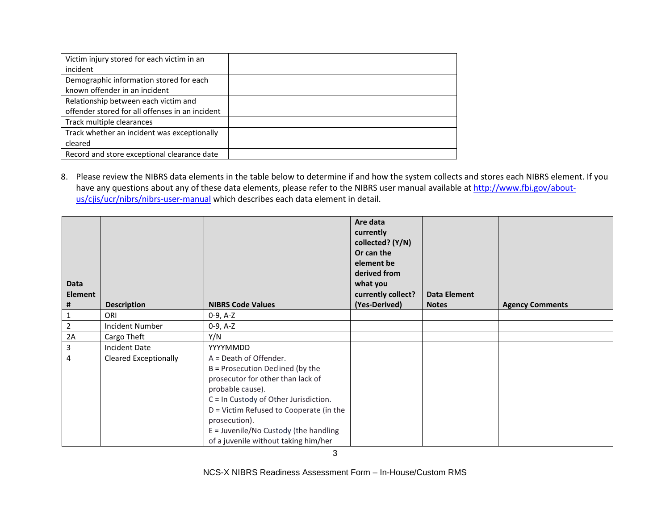| Victim injury stored for each victim in an      |  |
|-------------------------------------------------|--|
| incident                                        |  |
| Demographic information stored for each         |  |
| known offender in an incident                   |  |
| Relationship between each victim and            |  |
| offender stored for all offenses in an incident |  |
| Track multiple clearances                       |  |
| Track whether an incident was exceptionally     |  |
| cleared                                         |  |
| Record and store exceptional clearance date     |  |
|                                                 |  |

8. Please review the NIBRS data elements in the table below to determine if and how the system collects and stores each NIBRS element. If you have any questions about any of these data elements, please refer to the NIBRS user manual available a[t http://www.fbi.gov/about](http://www.fbi.gov/about-us/cjis/ucr/nibrs/nibrs-user-manual)[us/cjis/ucr/nibrs/nibrs-user-manual](http://www.fbi.gov/about-us/cjis/ucr/nibrs/nibrs-user-manual) which describes each data element in detail.

| Data<br><b>Element</b><br># | <b>Description</b>           | <b>NIBRS Code Values</b>                                                                                                                                                                                                                                                                                    | Are data<br>currently<br>collected? (Y/N)<br>Or can the<br>element be<br>derived from<br>what you<br>currently collect?<br>(Yes-Derived) | <b>Data Element</b><br><b>Notes</b> | <b>Agency Comments</b> |
|-----------------------------|------------------------------|-------------------------------------------------------------------------------------------------------------------------------------------------------------------------------------------------------------------------------------------------------------------------------------------------------------|------------------------------------------------------------------------------------------------------------------------------------------|-------------------------------------|------------------------|
| 1                           | ORI                          | 0-9, A-Z                                                                                                                                                                                                                                                                                                    |                                                                                                                                          |                                     |                        |
| $\overline{2}$              | <b>Incident Number</b>       | $0-9, A-Z$                                                                                                                                                                                                                                                                                                  |                                                                                                                                          |                                     |                        |
| 2A                          | Cargo Theft                  | Y/N                                                                                                                                                                                                                                                                                                         |                                                                                                                                          |                                     |                        |
| 3                           | Incident Date                | <b>YYYYMMDD</b>                                                                                                                                                                                                                                                                                             |                                                                                                                                          |                                     |                        |
| 4                           | <b>Cleared Exceptionally</b> | A = Death of Offender.<br>B = Prosecution Declined (by the<br>prosecutor for other than lack of<br>probable cause).<br>C = In Custody of Other Jurisdiction.<br>D = Victim Refused to Cooperate (in the<br>prosecution).<br>$E =$ Juvenile/No Custody (the handling<br>of a juvenile without taking him/her |                                                                                                                                          |                                     |                        |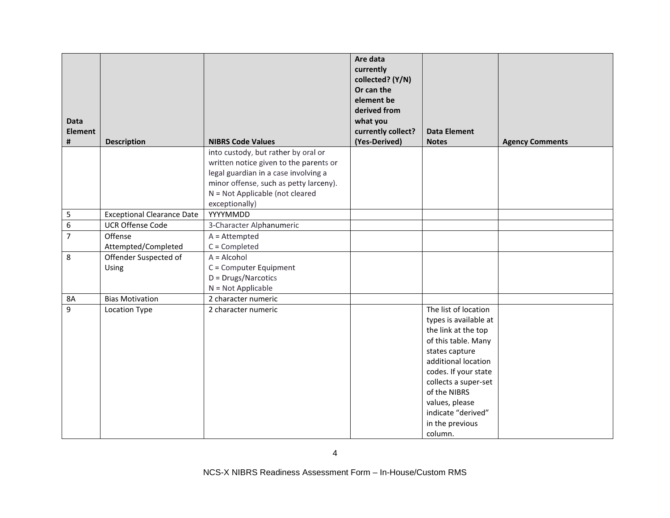|                |                                   |                                                   | Are data<br>currently<br>collected? (Y/N)<br>Or can the<br>element be<br>derived from |                                      |                        |
|----------------|-----------------------------------|---------------------------------------------------|---------------------------------------------------------------------------------------|--------------------------------------|------------------------|
| <b>Data</b>    |                                   |                                                   | what you                                                                              |                                      |                        |
| <b>Element</b> |                                   |                                                   | currently collect?                                                                    | <b>Data Element</b>                  |                        |
| #              | <b>Description</b>                | <b>NIBRS Code Values</b>                          | (Yes-Derived)                                                                         | <b>Notes</b>                         | <b>Agency Comments</b> |
|                |                                   | into custody, but rather by oral or               |                                                                                       |                                      |                        |
|                |                                   | written notice given to the parents or            |                                                                                       |                                      |                        |
|                |                                   | legal guardian in a case involving a              |                                                                                       |                                      |                        |
|                |                                   | minor offense, such as petty larceny).            |                                                                                       |                                      |                        |
|                |                                   | N = Not Applicable (not cleared<br>exceptionally) |                                                                                       |                                      |                        |
| 5              | <b>Exceptional Clearance Date</b> | YYYYMMDD                                          |                                                                                       |                                      |                        |
| 6              | <b>UCR Offense Code</b>           | 3-Character Alphanumeric                          |                                                                                       |                                      |                        |
| $\overline{7}$ | Offense                           | $A =$ Attempted                                   |                                                                                       |                                      |                        |
|                | Attempted/Completed               | $C =$ Completed                                   |                                                                                       |                                      |                        |
| 8              | Offender Suspected of             | $A = Alcohol$                                     |                                                                                       |                                      |                        |
|                | Using                             | C = Computer Equipment                            |                                                                                       |                                      |                        |
|                |                                   | D = Drugs/Narcotics                               |                                                                                       |                                      |                        |
|                |                                   | $N = Not Applicable$                              |                                                                                       |                                      |                        |
| <b>8A</b>      | <b>Bias Motivation</b>            | 2 character numeric                               |                                                                                       |                                      |                        |
| 9              | Location Type                     | 2 character numeric                               |                                                                                       | The list of location                 |                        |
|                |                                   |                                                   |                                                                                       | types is available at                |                        |
|                |                                   |                                                   |                                                                                       | the link at the top                  |                        |
|                |                                   |                                                   |                                                                                       | of this table. Many                  |                        |
|                |                                   |                                                   |                                                                                       | states capture                       |                        |
|                |                                   |                                                   |                                                                                       | additional location                  |                        |
|                |                                   |                                                   |                                                                                       | codes. If your state                 |                        |
|                |                                   |                                                   |                                                                                       | collects a super-set                 |                        |
|                |                                   |                                                   |                                                                                       | of the NIBRS                         |                        |
|                |                                   |                                                   |                                                                                       | values, please<br>indicate "derived" |                        |
|                |                                   |                                                   |                                                                                       | in the previous                      |                        |
|                |                                   |                                                   |                                                                                       | column.                              |                        |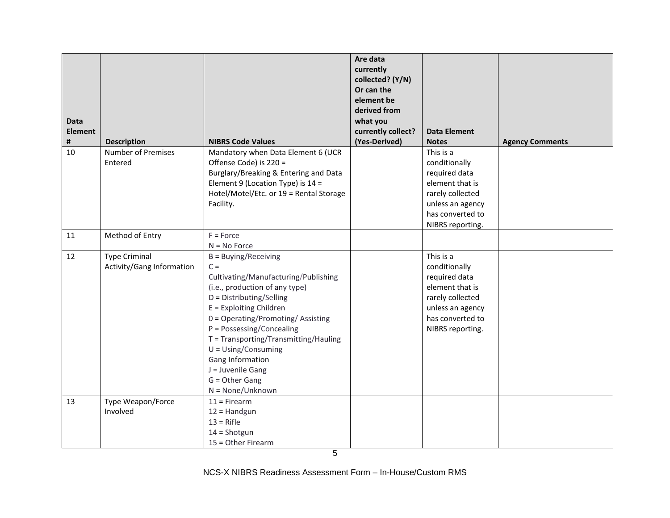| <b>Data</b><br><b>Element</b><br># | <b>Description</b>                                | <b>NIBRS Code Values</b>                | Are data<br>currently<br>collected? (Y/N)<br>Or can the<br>element be<br>derived from<br>what you<br>currently collect?<br>(Yes-Derived) | <b>Data Element</b><br><b>Notes</b> | <b>Agency Comments</b> |
|------------------------------------|---------------------------------------------------|-----------------------------------------|------------------------------------------------------------------------------------------------------------------------------------------|-------------------------------------|------------------------|
| 10                                 | <b>Number of Premises</b>                         | Mandatory when Data Element 6 (UCR      |                                                                                                                                          | This is a                           |                        |
|                                    | Entered                                           | Offense Code) is 220 =                  |                                                                                                                                          | conditionally                       |                        |
|                                    |                                                   | Burglary/Breaking & Entering and Data   |                                                                                                                                          | required data                       |                        |
|                                    |                                                   | Element 9 (Location Type) is $14 =$     |                                                                                                                                          | element that is                     |                        |
|                                    |                                                   | Hotel/Motel/Etc. or 19 = Rental Storage |                                                                                                                                          | rarely collected                    |                        |
|                                    |                                                   | Facility.                               |                                                                                                                                          | unless an agency                    |                        |
|                                    |                                                   |                                         |                                                                                                                                          | has converted to                    |                        |
|                                    |                                                   |                                         |                                                                                                                                          | NIBRS reporting.                    |                        |
| 11                                 | Method of Entry                                   | $F = Force$                             |                                                                                                                                          |                                     |                        |
|                                    |                                                   | $N = No$ Force                          |                                                                                                                                          |                                     |                        |
| 12                                 | <b>Type Criminal</b><br>Activity/Gang Information | $B = Buying/Receiving$<br>$C =$         |                                                                                                                                          | This is a<br>conditionally          |                        |
|                                    |                                                   | Cultivating/Manufacturing/Publishing    |                                                                                                                                          | required data                       |                        |
|                                    |                                                   | (i.e., production of any type)          |                                                                                                                                          | element that is                     |                        |
|                                    |                                                   | D = Distributing/Selling                |                                                                                                                                          | rarely collected                    |                        |
|                                    |                                                   | $E =$ Exploiting Children               |                                                                                                                                          | unless an agency                    |                        |
|                                    |                                                   | 0 = Operating/Promoting/Assisting       |                                                                                                                                          | has converted to                    |                        |
|                                    |                                                   | P = Possessing/Concealing               |                                                                                                                                          | NIBRS reporting.                    |                        |
|                                    |                                                   | T = Transporting/Transmitting/Hauling   |                                                                                                                                          |                                     |                        |
|                                    |                                                   | $U = Using/Consuming$                   |                                                                                                                                          |                                     |                        |
|                                    |                                                   | Gang Information                        |                                                                                                                                          |                                     |                        |
|                                    |                                                   | J = Juvenile Gang                       |                                                                                                                                          |                                     |                        |
|                                    |                                                   | G = Other Gang                          |                                                                                                                                          |                                     |                        |
|                                    |                                                   | $N = None/Unknown$                      |                                                                                                                                          |                                     |                        |
| 13                                 | Type Weapon/Force<br>Involved                     | $11 =$ Firearm                          |                                                                                                                                          |                                     |                        |
|                                    |                                                   | $12 =$ Handgun<br>$13 =$ Rifle          |                                                                                                                                          |                                     |                        |
|                                    |                                                   | $14 =$ Shotgun                          |                                                                                                                                          |                                     |                        |
|                                    |                                                   | 15 = Other Firearm                      |                                                                                                                                          |                                     |                        |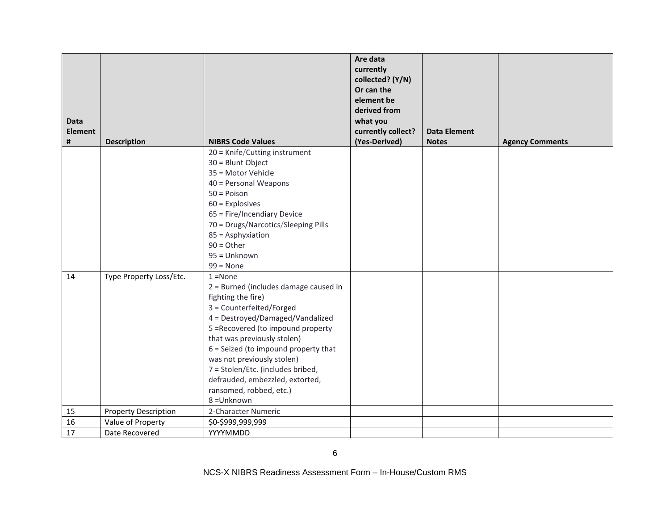|                |                             |                                       | Are data           |                     |                        |
|----------------|-----------------------------|---------------------------------------|--------------------|---------------------|------------------------|
|                |                             |                                       | currently          |                     |                        |
|                |                             |                                       | collected? (Y/N)   |                     |                        |
|                |                             |                                       | Or can the         |                     |                        |
|                |                             |                                       | element be         |                     |                        |
|                |                             |                                       | derived from       |                     |                        |
| <b>Data</b>    |                             |                                       | what you           |                     |                        |
| <b>Element</b> |                             |                                       | currently collect? | <b>Data Element</b> |                        |
| #              | <b>Description</b>          | <b>NIBRS Code Values</b>              | (Yes-Derived)      | <b>Notes</b>        | <b>Agency Comments</b> |
|                |                             | 20 = Knife/Cutting instrument         |                    |                     |                        |
|                |                             | 30 = Blunt Object                     |                    |                     |                        |
|                |                             | 35 = Motor Vehicle                    |                    |                     |                        |
|                |                             | 40 = Personal Weapons                 |                    |                     |                        |
|                |                             | $50 = Poisson$                        |                    |                     |                        |
|                |                             | $60$ = Explosives                     |                    |                     |                        |
|                |                             | 65 = Fire/Incendiary Device           |                    |                     |                        |
|                |                             | 70 = Drugs/Narcotics/Sleeping Pills   |                    |                     |                        |
|                |                             | 85 = Asphyxiation                     |                    |                     |                        |
|                |                             | $90 = Other$                          |                    |                     |                        |
|                |                             | 95 = Unknown                          |                    |                     |                        |
|                |                             | $99 = None$                           |                    |                     |                        |
| 14             | Type Property Loss/Etc.     | $1 = None$                            |                    |                     |                        |
|                |                             | 2 = Burned (includes damage caused in |                    |                     |                        |
|                |                             | fighting the fire)                    |                    |                     |                        |
|                |                             | 3 = Counterfeited/Forged              |                    |                     |                        |
|                |                             | 4 = Destroyed/Damaged/Vandalized      |                    |                     |                        |
|                |                             | 5 = Recovered (to impound property    |                    |                     |                        |
|                |                             | that was previously stolen)           |                    |                     |                        |
|                |                             | 6 = Seized (to impound property that  |                    |                     |                        |
|                |                             | was not previously stolen)            |                    |                     |                        |
|                |                             | 7 = Stolen/Etc. (includes bribed,     |                    |                     |                        |
|                |                             | defrauded, embezzled, extorted,       |                    |                     |                        |
|                |                             | ransomed, robbed, etc.)               |                    |                     |                        |
|                |                             | 8 = Unknown                           |                    |                     |                        |
| 15             | <b>Property Description</b> | 2-Character Numeric                   |                    |                     |                        |
| 16             | Value of Property           | \$0-\$999,999,999                     |                    |                     |                        |
| 17             | Date Recovered              | YYYYMMDD                              |                    |                     |                        |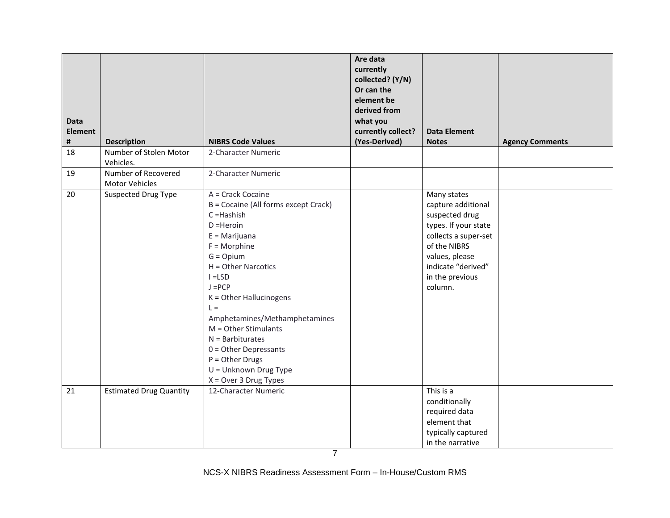| Data<br><b>Element</b><br># | <b>Description</b>                    | <b>NIBRS Code Values</b>                                                                                                                                                                                                                                                                                                                                                                                               | Are data<br>currently<br>collected? (Y/N)<br>Or can the<br>element be<br>derived from<br>what you<br>currently collect?<br>(Yes-Derived) | <b>Data Element</b><br><b>Notes</b>                                                                                                                                                       | <b>Agency Comments</b> |
|-----------------------------|---------------------------------------|------------------------------------------------------------------------------------------------------------------------------------------------------------------------------------------------------------------------------------------------------------------------------------------------------------------------------------------------------------------------------------------------------------------------|------------------------------------------------------------------------------------------------------------------------------------------|-------------------------------------------------------------------------------------------------------------------------------------------------------------------------------------------|------------------------|
| 18                          | Number of Stolen Motor<br>Vehicles.   | 2-Character Numeric                                                                                                                                                                                                                                                                                                                                                                                                    |                                                                                                                                          |                                                                                                                                                                                           |                        |
| 19                          | Number of Recovered<br>Motor Vehicles | 2-Character Numeric                                                                                                                                                                                                                                                                                                                                                                                                    |                                                                                                                                          |                                                                                                                                                                                           |                        |
| 20                          | <b>Suspected Drug Type</b>            | A = Crack Cocaine<br>B = Cocaine (All forms except Crack)<br>$C = Hashish$<br>$D = Heroin$<br>$E =$ Marijuana<br>$F = Morphine$<br>$G = Opium$<br>H = Other Narcotics<br>$I = LSD$<br>$J = PCP$<br>K = Other Hallucinogens<br>$L =$<br>Amphetamines/Methamphetamines<br>M = Other Stimulants<br>$N =$ Barbiturates<br>$0 =$ Other Depressants<br>$P = Other Drugs$<br>U = Unknown Drug Type<br>$X = Over 3 Drug Types$ |                                                                                                                                          | Many states<br>capture additional<br>suspected drug<br>types. If your state<br>collects a super-set<br>of the NIBRS<br>values, please<br>indicate "derived"<br>in the previous<br>column. |                        |
| 21                          | <b>Estimated Drug Quantity</b>        | 12-Character Numeric                                                                                                                                                                                                                                                                                                                                                                                                   |                                                                                                                                          | This is a<br>conditionally<br>required data<br>element that<br>typically captured<br>in the narrative                                                                                     |                        |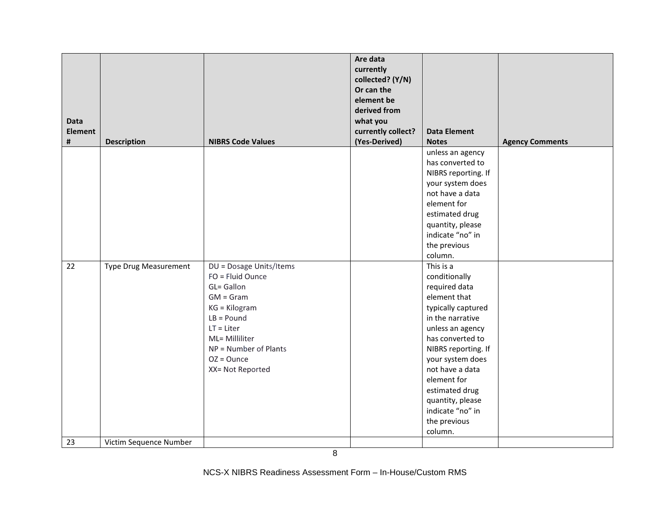|                |                        |                                             | Are data<br>currently<br>collected? (Y/N)<br>Or can the<br>element be<br>derived from |                                         |                        |
|----------------|------------------------|---------------------------------------------|---------------------------------------------------------------------------------------|-----------------------------------------|------------------------|
| <b>Data</b>    |                        |                                             | what you                                                                              |                                         |                        |
| <b>Element</b> |                        |                                             | currently collect?                                                                    | <b>Data Element</b>                     |                        |
| #              | <b>Description</b>     | <b>NIBRS Code Values</b>                    | (Yes-Derived)                                                                         | <b>Notes</b>                            | <b>Agency Comments</b> |
|                |                        |                                             |                                                                                       | unless an agency                        |                        |
|                |                        |                                             |                                                                                       | has converted to<br>NIBRS reporting. If |                        |
|                |                        |                                             |                                                                                       | your system does                        |                        |
|                |                        |                                             |                                                                                       | not have a data                         |                        |
|                |                        |                                             |                                                                                       | element for                             |                        |
|                |                        |                                             |                                                                                       | estimated drug                          |                        |
|                |                        |                                             |                                                                                       | quantity, please                        |                        |
|                |                        |                                             |                                                                                       | indicate "no" in                        |                        |
|                |                        |                                             |                                                                                       | the previous                            |                        |
|                |                        |                                             |                                                                                       | column.                                 |                        |
| 22             | Type Drug Measurement  | DU = Dosage Units/Items<br>FO = Fluid Ounce |                                                                                       | This is a<br>conditionally              |                        |
|                |                        | GL= Gallon                                  |                                                                                       | required data                           |                        |
|                |                        | $GM = Gram$                                 |                                                                                       | element that                            |                        |
|                |                        | $KG = Kilogram$                             |                                                                                       | typically captured                      |                        |
|                |                        | $LB =$ Pound                                |                                                                                       | in the narrative                        |                        |
|                |                        | $LT = Liter$                                |                                                                                       | unless an agency                        |                        |
|                |                        | ML= Milliliter                              |                                                                                       | has converted to                        |                        |
|                |                        | NP = Number of Plants                       |                                                                                       | NIBRS reporting. If                     |                        |
|                |                        | $OZ = O$ unce                               |                                                                                       | your system does                        |                        |
|                |                        | XX= Not Reported                            |                                                                                       | not have a data                         |                        |
|                |                        |                                             |                                                                                       | element for                             |                        |
|                |                        |                                             |                                                                                       | estimated drug<br>quantity, please      |                        |
|                |                        |                                             |                                                                                       | indicate "no" in                        |                        |
|                |                        |                                             |                                                                                       | the previous                            |                        |
|                |                        |                                             |                                                                                       | column.                                 |                        |
| 23             | Victim Sequence Number |                                             |                                                                                       |                                         |                        |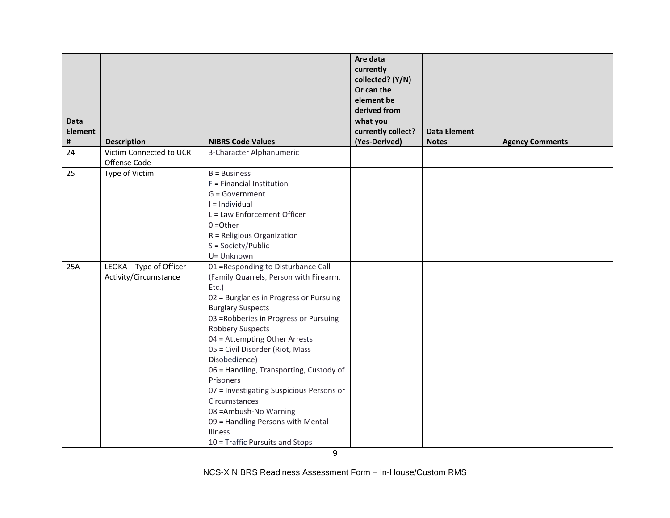|                     |                                                  |                                                                                                                                                                                                                                                                                                                                                                                                                                                                                                                                                              | Are data<br>currently<br>collected? (Y/N)<br>Or can the<br>element be<br>derived from |                                     |                        |
|---------------------|--------------------------------------------------|--------------------------------------------------------------------------------------------------------------------------------------------------------------------------------------------------------------------------------------------------------------------------------------------------------------------------------------------------------------------------------------------------------------------------------------------------------------------------------------------------------------------------------------------------------------|---------------------------------------------------------------------------------------|-------------------------------------|------------------------|
| <b>Data</b>         |                                                  |                                                                                                                                                                                                                                                                                                                                                                                                                                                                                                                                                              | what you                                                                              |                                     |                        |
| <b>Element</b><br># | <b>Description</b>                               | <b>NIBRS Code Values</b>                                                                                                                                                                                                                                                                                                                                                                                                                                                                                                                                     | currently collect?<br>(Yes-Derived)                                                   | <b>Data Element</b><br><b>Notes</b> | <b>Agency Comments</b> |
| 24                  | Victim Connected to UCR<br>Offense Code          | 3-Character Alphanumeric                                                                                                                                                                                                                                                                                                                                                                                                                                                                                                                                     |                                                                                       |                                     |                        |
| 25                  | Type of Victim                                   | $B = Business$<br>F = Financial Institution<br>$G = Government$<br>$I = Individual$<br>L = Law Enforcement Officer<br>$0 = Other$<br>R = Religious Organization<br>S = Society/Public<br>U= Unknown                                                                                                                                                                                                                                                                                                                                                          |                                                                                       |                                     |                        |
| 25A                 | LEOKA - Type of Officer<br>Activity/Circumstance | 01 = Responding to Disturbance Call<br>(Family Quarrels, Person with Firearm,<br>$EtC.$ )<br>02 = Burglaries in Progress or Pursuing<br><b>Burglary Suspects</b><br>03 = Robberies in Progress or Pursuing<br><b>Robbery Suspects</b><br>04 = Attempting Other Arrests<br>05 = Civil Disorder (Riot, Mass<br>Disobedience)<br>06 = Handling, Transporting, Custody of<br>Prisoners<br>07 = Investigating Suspicious Persons or<br>Circumstances<br>08 = Ambush-No Warning<br>09 = Handling Persons with Mental<br>Illness<br>10 = Traffic Pursuits and Stops |                                                                                       |                                     |                        |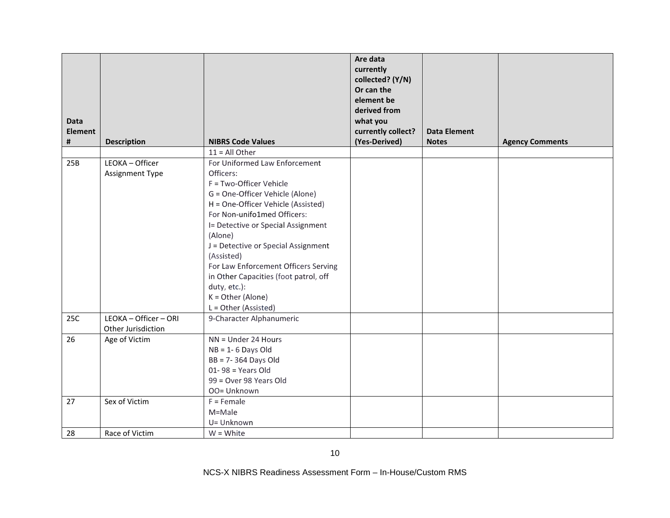| <b>Data</b>    |                                             |                                                                                                                                                                                                                                                                                                                                                                                                                                     | Are data<br>currently<br>collected? (Y/N)<br>Or can the<br>element be<br>derived from<br>what you |                     |                        |
|----------------|---------------------------------------------|-------------------------------------------------------------------------------------------------------------------------------------------------------------------------------------------------------------------------------------------------------------------------------------------------------------------------------------------------------------------------------------------------------------------------------------|---------------------------------------------------------------------------------------------------|---------------------|------------------------|
| <b>Element</b> |                                             |                                                                                                                                                                                                                                                                                                                                                                                                                                     | currently collect?                                                                                | <b>Data Element</b> |                        |
| #              | <b>Description</b>                          | <b>NIBRS Code Values</b>                                                                                                                                                                                                                                                                                                                                                                                                            | (Yes-Derived)                                                                                     | <b>Notes</b>        | <b>Agency Comments</b> |
|                |                                             | $11 = All Other$                                                                                                                                                                                                                                                                                                                                                                                                                    |                                                                                                   |                     |                        |
| 25B            | LEOKA - Officer<br>Assignment Type          | For Uniformed Law Enforcement<br>Officers:<br>F = Two-Officer Vehicle<br>G = One-Officer Vehicle (Alone)<br>H = One-Officer Vehicle (Assisted)<br>For Non-unifo1med Officers:<br>I= Detective or Special Assignment<br>(Alone)<br>J = Detective or Special Assignment<br>(Assisted)<br>For Law Enforcement Officers Serving<br>in Other Capacities (foot patrol, off<br>duty, etc.):<br>$K = Other$ (Alone)<br>L = Other (Assisted) |                                                                                                   |                     |                        |
| 25C            | LEOKA - Officer - ORI<br>Other Jurisdiction | 9-Character Alphanumeric                                                                                                                                                                                                                                                                                                                                                                                                            |                                                                                                   |                     |                        |
| 26             | Age of Victim                               | $\overline{NN}$ = Under 24 Hours<br>$NB = 1 - 6$ Days Old<br>BB = 7-364 Days Old<br>$01 - 98 = Years Old$<br>99 = Over 98 Years Old<br>OO= Unknown                                                                                                                                                                                                                                                                                  |                                                                                                   |                     |                        |
| 27             | Sex of Victim                               | $F =$ Female<br>M=Male<br>U= Unknown                                                                                                                                                                                                                                                                                                                                                                                                |                                                                                                   |                     |                        |
| 28             | Race of Victim                              | $W = White$                                                                                                                                                                                                                                                                                                                                                                                                                         |                                                                                                   |                     |                        |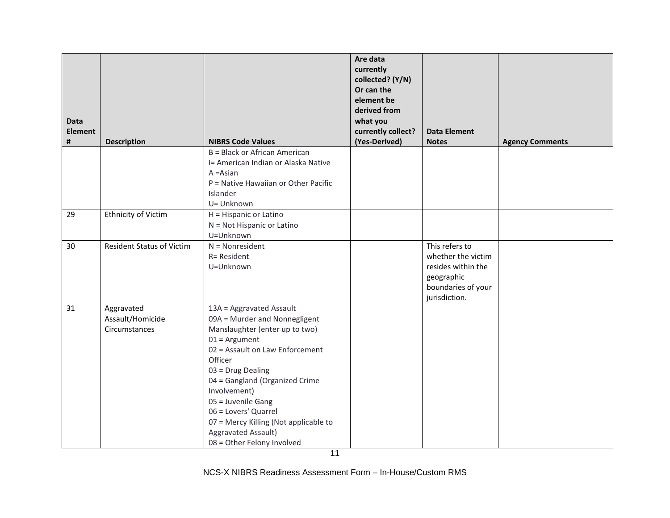| <b>Data</b><br><b>Element</b><br># | <b>Description</b>               | <b>NIBRS Code Values</b>                   | Are data<br>currently<br>collected? (Y/N)<br>Or can the<br>element be<br>derived from<br>what you<br>currently collect?<br>(Yes-Derived) | <b>Data Element</b><br><b>Notes</b>      | <b>Agency Comments</b> |
|------------------------------------|----------------------------------|--------------------------------------------|------------------------------------------------------------------------------------------------------------------------------------------|------------------------------------------|------------------------|
|                                    |                                  | B = Black or African American              |                                                                                                                                          |                                          |                        |
|                                    |                                  | I= American Indian or Alaska Native        |                                                                                                                                          |                                          |                        |
|                                    |                                  | $A = Asian$                                |                                                                                                                                          |                                          |                        |
|                                    |                                  | P = Native Hawaiian or Other Pacific       |                                                                                                                                          |                                          |                        |
|                                    |                                  | Islander                                   |                                                                                                                                          |                                          |                        |
|                                    |                                  | U= Unknown                                 |                                                                                                                                          |                                          |                        |
| 29                                 | Ethnicity of Victim              | H = Hispanic or Latino                     |                                                                                                                                          |                                          |                        |
|                                    |                                  | N = Not Hispanic or Latino                 |                                                                                                                                          |                                          |                        |
|                                    |                                  | U=Unknown                                  |                                                                                                                                          |                                          |                        |
| 30                                 | <b>Resident Status of Victim</b> | $N = Nonresident$                          |                                                                                                                                          | This refers to                           |                        |
|                                    |                                  | R= Resident<br>U=Unknown                   |                                                                                                                                          | whether the victim<br>resides within the |                        |
|                                    |                                  |                                            |                                                                                                                                          | geographic                               |                        |
|                                    |                                  |                                            |                                                                                                                                          | boundaries of your                       |                        |
|                                    |                                  |                                            |                                                                                                                                          | jurisdiction.                            |                        |
| 31                                 | Aggravated                       | 13A = Aggravated Assault                   |                                                                                                                                          |                                          |                        |
|                                    | Assault/Homicide                 | 09A = Murder and Nonnegligent              |                                                                                                                                          |                                          |                        |
|                                    | Circumstances                    | Manslaughter (enter up to two)             |                                                                                                                                          |                                          |                        |
|                                    |                                  | $01 =$ Argument                            |                                                                                                                                          |                                          |                        |
|                                    |                                  | 02 = Assault on Law Enforcement            |                                                                                                                                          |                                          |                        |
|                                    |                                  | Officer                                    |                                                                                                                                          |                                          |                        |
|                                    |                                  | 03 = Drug Dealing                          |                                                                                                                                          |                                          |                        |
|                                    |                                  | 04 = Gangland (Organized Crime             |                                                                                                                                          |                                          |                        |
|                                    |                                  | Involvement)                               |                                                                                                                                          |                                          |                        |
|                                    |                                  | 05 = Juvenile Gang<br>06 = Lovers' Quarrel |                                                                                                                                          |                                          |                        |
|                                    |                                  | 07 = Mercy Killing (Not applicable to      |                                                                                                                                          |                                          |                        |
|                                    |                                  | Aggravated Assault)                        |                                                                                                                                          |                                          |                        |
|                                    |                                  | 08 = Other Felony Involved                 |                                                                                                                                          |                                          |                        |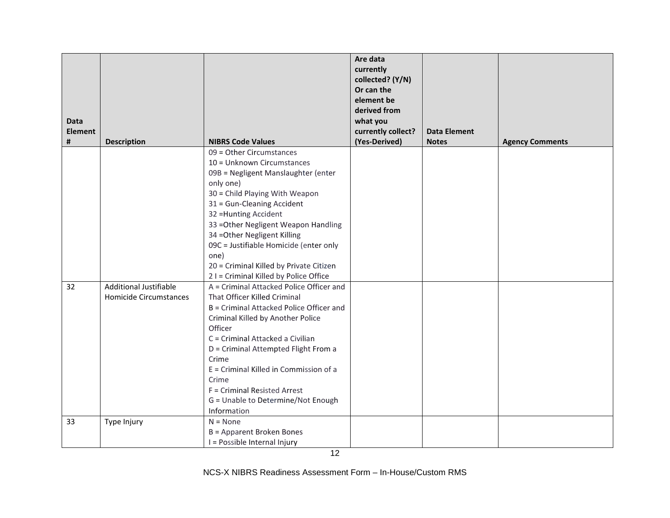| <b>Data</b><br><b>Element</b> |                               |                                                                                                                                                                                                                                                                                                                                                                          | Are data<br>currently<br>collected? (Y/N)<br>Or can the<br>element be<br>derived from<br>what you<br>currently collect? | <b>Data Element</b> |                        |
|-------------------------------|-------------------------------|--------------------------------------------------------------------------------------------------------------------------------------------------------------------------------------------------------------------------------------------------------------------------------------------------------------------------------------------------------------------------|-------------------------------------------------------------------------------------------------------------------------|---------------------|------------------------|
| #                             | <b>Description</b>            | <b>NIBRS Code Values</b>                                                                                                                                                                                                                                                                                                                                                 | (Yes-Derived)                                                                                                           | <b>Notes</b>        | <b>Agency Comments</b> |
|                               |                               | 09 = Other Circumstances<br>10 = Unknown Circumstances<br>09B = Negligent Manslaughter (enter<br>only one)<br>30 = Child Playing With Weapon<br>31 = Gun-Cleaning Accident<br>32 = Hunting Accident<br>33 = Other Negligent Weapon Handling<br>34 = Other Negligent Killing<br>09C = Justifiable Homicide (enter only<br>one)<br>20 = Criminal Killed by Private Citizen |                                                                                                                         |                     |                        |
| 32                            | <b>Additional Justifiable</b> | 2 I = Criminal Killed by Police Office<br>A = Criminal Attacked Police Officer and                                                                                                                                                                                                                                                                                       |                                                                                                                         |                     |                        |
|                               | <b>Homicide Circumstances</b> | That Officer Killed Criminal<br>B = Criminal Attacked Police Officer and<br>Criminal Killed by Another Police<br>Officer<br>C = Criminal Attacked a Civilian<br>D = Criminal Attempted Flight From a<br>Crime<br>E = Criminal Killed in Commission of a<br>Crime<br>F = Criminal Resisted Arrest<br>G = Unable to Determine/Not Enough<br>Information                    |                                                                                                                         |                     |                        |
| 33                            | Type Injury                   | $N = None$<br>B = Apparent Broken Bones<br>I = Possible Internal Injury                                                                                                                                                                                                                                                                                                  |                                                                                                                         |                     |                        |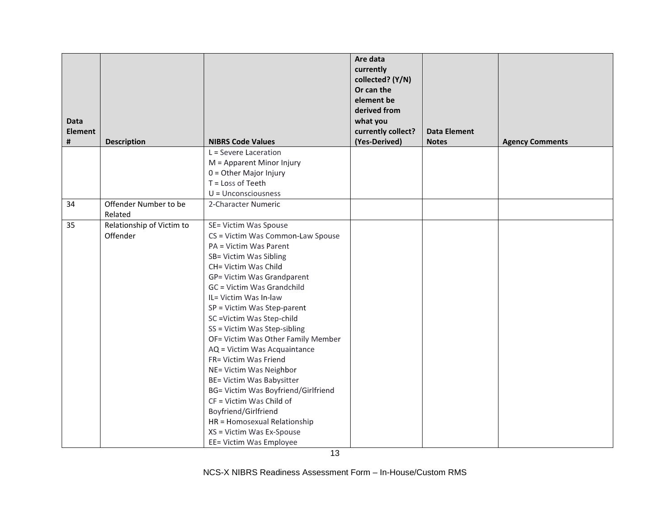|                                  |                                   | Are data<br>currently<br>collected? (Y/N)<br>Or can the<br>element be<br>derived from<br>what you<br>currently collect?                                                                                                                                                                                                                                                                                                                                                                                                                                                                                                               | <b>Data Element</b> | <b>Agency Comments</b> |
|----------------------------------|-----------------------------------|---------------------------------------------------------------------------------------------------------------------------------------------------------------------------------------------------------------------------------------------------------------------------------------------------------------------------------------------------------------------------------------------------------------------------------------------------------------------------------------------------------------------------------------------------------------------------------------------------------------------------------------|---------------------|------------------------|
|                                  | L = Severe Laceration             |                                                                                                                                                                                                                                                                                                                                                                                                                                                                                                                                                                                                                                       |                     |                        |
|                                  |                                   |                                                                                                                                                                                                                                                                                                                                                                                                                                                                                                                                                                                                                                       |                     |                        |
|                                  |                                   |                                                                                                                                                                                                                                                                                                                                                                                                                                                                                                                                                                                                                                       |                     |                        |
|                                  | T = Loss of Teeth                 |                                                                                                                                                                                                                                                                                                                                                                                                                                                                                                                                                                                                                                       |                     |                        |
|                                  | $U =$ Unconsciousness             |                                                                                                                                                                                                                                                                                                                                                                                                                                                                                                                                                                                                                                       |                     |                        |
| Offender Number to be<br>Related | 2-Character Numeric               |                                                                                                                                                                                                                                                                                                                                                                                                                                                                                                                                                                                                                                       |                     |                        |
| Relationship of Victim to        | SE= Victim Was Spouse             |                                                                                                                                                                                                                                                                                                                                                                                                                                                                                                                                                                                                                                       |                     |                        |
| Offender                         | CS = Victim Was Common-Law Spouse |                                                                                                                                                                                                                                                                                                                                                                                                                                                                                                                                                                                                                                       |                     |                        |
|                                  | PA = Victim Was Parent            |                                                                                                                                                                                                                                                                                                                                                                                                                                                                                                                                                                                                                                       |                     |                        |
|                                  | SB= Victim Was Sibling            |                                                                                                                                                                                                                                                                                                                                                                                                                                                                                                                                                                                                                                       |                     |                        |
|                                  |                                   |                                                                                                                                                                                                                                                                                                                                                                                                                                                                                                                                                                                                                                       |                     |                        |
|                                  |                                   |                                                                                                                                                                                                                                                                                                                                                                                                                                                                                                                                                                                                                                       |                     |                        |
|                                  |                                   |                                                                                                                                                                                                                                                                                                                                                                                                                                                                                                                                                                                                                                       |                     |                        |
|                                  |                                   |                                                                                                                                                                                                                                                                                                                                                                                                                                                                                                                                                                                                                                       |                     |                        |
|                                  |                                   |                                                                                                                                                                                                                                                                                                                                                                                                                                                                                                                                                                                                                                       |                     |                        |
|                                  |                                   |                                                                                                                                                                                                                                                                                                                                                                                                                                                                                                                                                                                                                                       |                     |                        |
|                                  |                                   |                                                                                                                                                                                                                                                                                                                                                                                                                                                                                                                                                                                                                                       |                     |                        |
|                                  |                                   |                                                                                                                                                                                                                                                                                                                                                                                                                                                                                                                                                                                                                                       |                     |                        |
|                                  |                                   |                                                                                                                                                                                                                                                                                                                                                                                                                                                                                                                                                                                                                                       |                     |                        |
|                                  |                                   |                                                                                                                                                                                                                                                                                                                                                                                                                                                                                                                                                                                                                                       |                     |                        |
|                                  |                                   |                                                                                                                                                                                                                                                                                                                                                                                                                                                                                                                                                                                                                                       |                     |                        |
|                                  |                                   |                                                                                                                                                                                                                                                                                                                                                                                                                                                                                                                                                                                                                                       |                     |                        |
|                                  |                                   |                                                                                                                                                                                                                                                                                                                                                                                                                                                                                                                                                                                                                                       |                     |                        |
|                                  |                                   |                                                                                                                                                                                                                                                                                                                                                                                                                                                                                                                                                                                                                                       |                     |                        |
|                                  |                                   |                                                                                                                                                                                                                                                                                                                                                                                                                                                                                                                                                                                                                                       |                     |                        |
|                                  |                                   |                                                                                                                                                                                                                                                                                                                                                                                                                                                                                                                                                                                                                                       |                     |                        |
|                                  |                                   |                                                                                                                                                                                                                                                                                                                                                                                                                                                                                                                                                                                                                                       |                     |                        |
|                                  | <b>Description</b>                | <b>NIBRS Code Values</b><br>M = Apparent Minor Injury<br>$0 =$ Other Major Injury<br>CH= Victim Was Child<br>GP= Victim Was Grandparent<br>GC = Victim Was Grandchild<br>IL= Victim Was In-law<br>SP = Victim Was Step-parent<br>SC = Victim Was Step-child<br>SS = Victim Was Step-sibling<br>OF= Victim Was Other Family Member<br>AQ = Victim Was Acquaintance<br>FR= Victim Was Friend<br>NE= Victim Was Neighbor<br>BE= Victim Was Babysitter<br>BG= Victim Was Boyfriend/Girlfriend<br>CF = Victim Was Child of<br>Boyfriend/Girlfriend<br>HR = Homosexual Relationship<br>XS = Victim Was Ex-Spouse<br>EE= Victim Was Employee | (Yes-Derived)       | <b>Notes</b>           |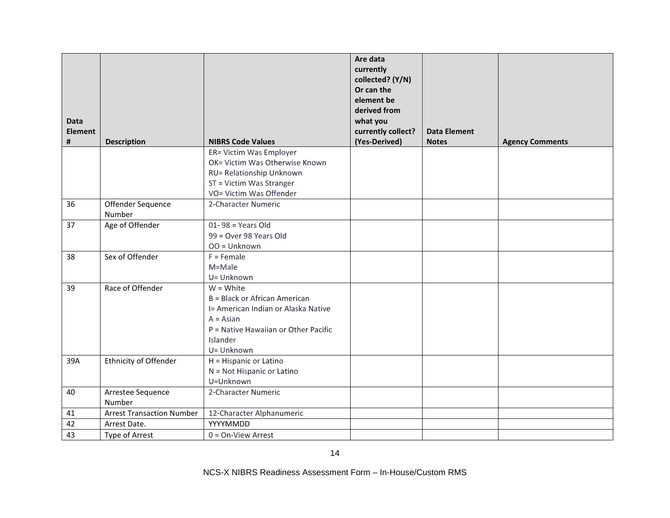| <b>Data</b><br><b>Element</b><br># | <b>Description</b>               | <b>NIBRS Code Values</b>             | Are data<br>currently<br>collected? (Y/N)<br>Or can the<br>element be<br>derived from<br>what you<br>currently collect?<br>(Yes-Derived) | <b>Data Element</b><br><b>Notes</b> | <b>Agency Comments</b> |
|------------------------------------|----------------------------------|--------------------------------------|------------------------------------------------------------------------------------------------------------------------------------------|-------------------------------------|------------------------|
|                                    |                                  | ER= Victim Was Employer              |                                                                                                                                          |                                     |                        |
|                                    |                                  | OK= Victim Was Otherwise Known       |                                                                                                                                          |                                     |                        |
|                                    |                                  | RU= Relationship Unknown             |                                                                                                                                          |                                     |                        |
|                                    |                                  | ST = Victim Was Stranger             |                                                                                                                                          |                                     |                        |
|                                    |                                  | VO= Victim Was Offender              |                                                                                                                                          |                                     |                        |
| 36                                 | Offender Sequence<br>Number      | 2-Character Numeric                  |                                                                                                                                          |                                     |                        |
| 37                                 | Age of Offender                  | $01 - 98 = Years Old$                |                                                                                                                                          |                                     |                        |
|                                    |                                  | 99 = Over 98 Years Old               |                                                                                                                                          |                                     |                        |
|                                    |                                  | $OO = Unknown$                       |                                                                                                                                          |                                     |                        |
| 38                                 | Sex of Offender                  | $F =$ Female                         |                                                                                                                                          |                                     |                        |
|                                    |                                  | M=Male                               |                                                                                                                                          |                                     |                        |
|                                    |                                  | U= Unknown                           |                                                                                                                                          |                                     |                        |
| 39                                 | Race of Offender                 | $W = White$                          |                                                                                                                                          |                                     |                        |
|                                    |                                  | B = Black or African American        |                                                                                                                                          |                                     |                        |
|                                    |                                  | I= American Indian or Alaska Native  |                                                                                                                                          |                                     |                        |
|                                    |                                  | $A = Asian$                          |                                                                                                                                          |                                     |                        |
|                                    |                                  | P = Native Hawaiian or Other Pacific |                                                                                                                                          |                                     |                        |
|                                    |                                  | Islander                             |                                                                                                                                          |                                     |                        |
|                                    |                                  | U= Unknown                           |                                                                                                                                          |                                     |                        |
| 39A                                | Ethnicity of Offender            | H = Hispanic or Latino               |                                                                                                                                          |                                     |                        |
|                                    |                                  | N = Not Hispanic or Latino           |                                                                                                                                          |                                     |                        |
|                                    |                                  | U=Unknown                            |                                                                                                                                          |                                     |                        |
| 40                                 | Arrestee Sequence                | 2-Character Numeric                  |                                                                                                                                          |                                     |                        |
|                                    | Number                           |                                      |                                                                                                                                          |                                     |                        |
| 41                                 | <b>Arrest Transaction Number</b> | 12-Character Alphanumeric            |                                                                                                                                          |                                     |                        |
| 42                                 | Arrest Date.                     | YYYYMMDD                             |                                                                                                                                          |                                     |                        |
| 43                                 | Type of Arrest                   | $0 = On-View$ Arrest                 |                                                                                                                                          |                                     |                        |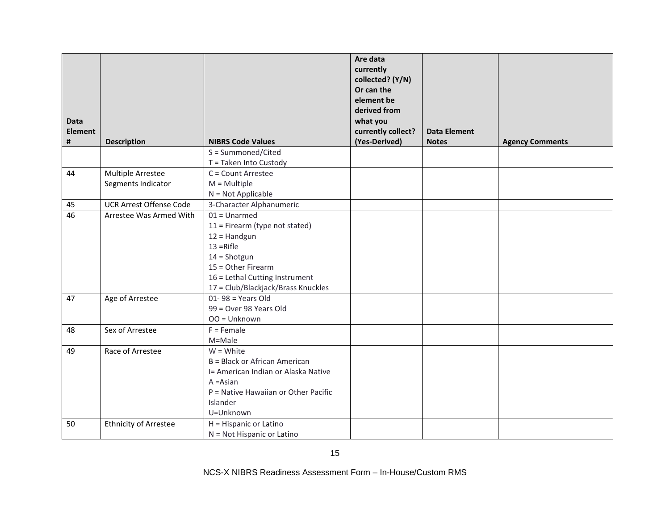|                |                                |                                      | Are data<br>currently<br>collected? (Y/N)<br>Or can the<br>element be |                     |                        |
|----------------|--------------------------------|--------------------------------------|-----------------------------------------------------------------------|---------------------|------------------------|
| <b>Data</b>    |                                |                                      | derived from<br>what you                                              |                     |                        |
| <b>Element</b> |                                |                                      | currently collect?                                                    | <b>Data Element</b> |                        |
| #              | <b>Description</b>             | <b>NIBRS Code Values</b>             | (Yes-Derived)                                                         | <b>Notes</b>        | <b>Agency Comments</b> |
|                |                                | S = Summoned/Cited                   |                                                                       |                     |                        |
|                |                                | T = Taken Into Custody               |                                                                       |                     |                        |
| 44             | Multiple Arrestee              | C = Count Arrestee                   |                                                                       |                     |                        |
|                | Segments Indicator             | $M =$ Multiple                       |                                                                       |                     |                        |
|                |                                | $N = Not Applicable$                 |                                                                       |                     |                        |
| 45             | <b>UCR Arrest Offense Code</b> | 3-Character Alphanumeric             |                                                                       |                     |                        |
| 46             | Arrestee Was Armed With        | $01 =$ Unarmed                       |                                                                       |                     |                        |
|                |                                | 11 = Firearm (type not stated)       |                                                                       |                     |                        |
|                |                                | $12 =$ Handgun                       |                                                                       |                     |                        |
|                |                                | $13 =$ Rifle                         |                                                                       |                     |                        |
|                |                                | $14 =$ Shotgun                       |                                                                       |                     |                        |
|                |                                | 15 = Other Firearm                   |                                                                       |                     |                        |
|                |                                | 16 = Lethal Cutting Instrument       |                                                                       |                     |                        |
|                |                                | 17 = Club/Blackjack/Brass Knuckles   |                                                                       |                     |                        |
| 47             | Age of Arrestee                | $01 - 98 = Years Old$                |                                                                       |                     |                        |
|                |                                | 99 = Over 98 Years Old               |                                                                       |                     |                        |
|                |                                | $OO = Unknown$                       |                                                                       |                     |                        |
| 48             | Sex of Arrestee                | $F =$ Female                         |                                                                       |                     |                        |
|                |                                | M=Male                               |                                                                       |                     |                        |
| 49             | Race of Arrestee               | $W = White$                          |                                                                       |                     |                        |
|                |                                | B = Black or African American        |                                                                       |                     |                        |
|                |                                | I= American Indian or Alaska Native  |                                                                       |                     |                        |
|                |                                | $A = Asian$                          |                                                                       |                     |                        |
|                |                                | P = Native Hawaiian or Other Pacific |                                                                       |                     |                        |
|                |                                | Islander                             |                                                                       |                     |                        |
|                |                                | U=Unknown                            |                                                                       |                     |                        |
| 50             | <b>Ethnicity of Arrestee</b>   | H = Hispanic or Latino               |                                                                       |                     |                        |
|                |                                | N = Not Hispanic or Latino           |                                                                       |                     |                        |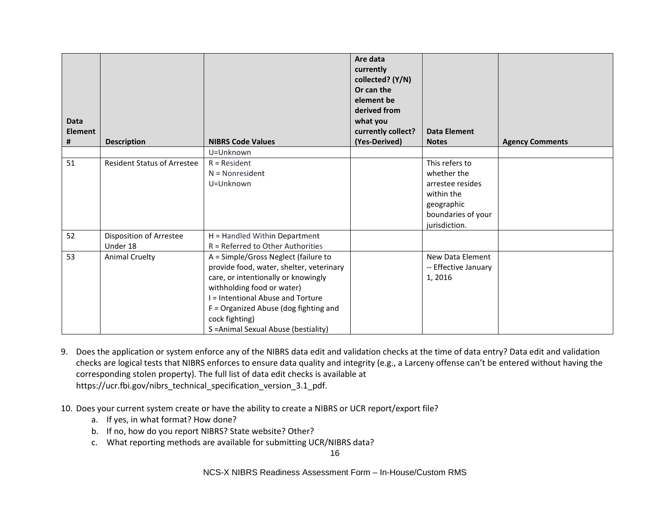| <b>Data</b><br><b>Element</b><br># | <b>Description</b>                  | <b>NIBRS Code Values</b>                                                                                                                                                                                                                                                                        | Are data<br>currently<br>collected? (Y/N)<br>Or can the<br>element be<br>derived from<br>what you<br>currently collect?<br>(Yes-Derived) | <b>Data Element</b><br><b>Notes</b>                                                                                  | <b>Agency Comments</b> |
|------------------------------------|-------------------------------------|-------------------------------------------------------------------------------------------------------------------------------------------------------------------------------------------------------------------------------------------------------------------------------------------------|------------------------------------------------------------------------------------------------------------------------------------------|----------------------------------------------------------------------------------------------------------------------|------------------------|
|                                    |                                     | U=Unknown                                                                                                                                                                                                                                                                                       |                                                                                                                                          |                                                                                                                      |                        |
| 51                                 | <b>Resident Status of Arrestee</b>  | $R = Resident$<br>$N = Nonresident$<br>U=Unknown                                                                                                                                                                                                                                                |                                                                                                                                          | This refers to<br>whether the<br>arrestee resides<br>within the<br>geographic<br>boundaries of your<br>jurisdiction. |                        |
| 52                                 | Disposition of Arrestee<br>Under 18 | H = Handled Within Department<br>R = Referred to Other Authorities                                                                                                                                                                                                                              |                                                                                                                                          |                                                                                                                      |                        |
| 53                                 | <b>Animal Cruelty</b>               | A = Simple/Gross Neglect (failure to<br>provide food, water, shelter, veterinary<br>care, or intentionally or knowingly<br>withholding food or water)<br>I = Intentional Abuse and Torture<br>$F =$ Organized Abuse (dog fighting and<br>cock fighting)<br>S = Animal Sexual Abuse (bestiality) |                                                                                                                                          | New Data Element<br>-- Effective January<br>1, 2016                                                                  |                        |

9. Does the application or system enforce any of the NIBRS data edit and validation checks at the time of data entry? Data edit and validation checks are logical tests that NIBRS enforces to ensure data quality and integrity (e.g., a Larceny offense can't be entered without having the corresponding stolen property). The full list of data edit checks is available at https://ucr.fbi.gov/nibrs\_technical\_specification\_version\_3.1\_pdf.

- 10. Does your current system create or have the ability to create a NIBRS or UCR report/export file?
	- a. If yes, in what format? How done?
	- b. If no, how do you report NIBRS? State website? Other?
	- c. What reporting methods are available for submitting UCR/NIBRS data?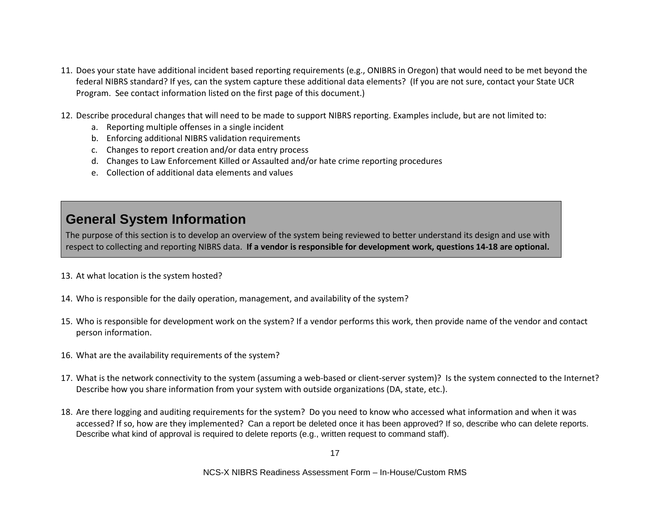- 11. Does your state have additional incident based reporting requirements (e.g., ONIBRS in Oregon) that would need to be met beyond the federal NIBRS standard? If yes, can the system capture these additional data elements? (If you are not sure, contact your State UCR Program. See contact information listed on the first page of this document.)
- 12. Describe procedural changes that will need to be made to support NIBRS reporting. Examples include, but are not limited to:
	- a. Reporting multiple offenses in a single incident
	- b. Enforcing additional NIBRS validation requirements
	- c. Changes to report creation and/or data entry process
	- d. Changes to Law Enforcement Killed or Assaulted and/or hate crime reporting procedures
	- e. Collection of additional data elements and values

## **General System Information**

The purpose of this section is to develop an overview of the system being reviewed to better understand its design and use with respect to collecting and reporting NIBRS data. **If a vendor is responsible for development work, questions 14-18 are optional.**

- 13. At what location is the system hosted?
- 14. Who is responsible for the daily operation, management, and availability of the system?
- 15. Who is responsible for development work on the system? If a vendor performs this work, then provide name of the vendor and contact person information.
- 16. What are the availability requirements of the system?
- 17. What is the network connectivity to the system (assuming a web-based or client-server system)? Is the system connected to the Internet? Describe how you share information from your system with outside organizations (DA, state, etc.).
- 18. Are there logging and auditing requirements for the system? Do you need to know who accessed what information and when it was accessed? If so, how are they implemented? Can a report be deleted once it has been approved? If so, describe who can delete reports. Describe what kind of approval is required to delete reports (e.g., written request to command staff).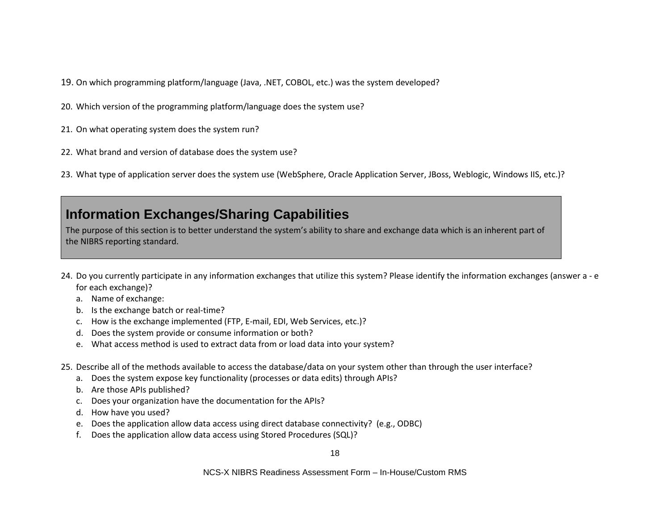- 19. On which programming platform/language (Java, .NET, COBOL, etc.) was the system developed?
- 20. Which version of the programming platform/language does the system use?
- 21. On what operating system does the system run?
- 22. What brand and version of database does the system use?
- 23. What type of application server does the system use (WebSphere, Oracle Application Server, JBoss, Weblogic, Windows IIS, etc.)?

### **Information Exchanges/Sharing Capabilities**

The purpose of this section is to better understand the system's ability to share and exchange data which is an inherent part of the NIBRS reporting standard.

- 24. Do you currently participate in any information exchanges that utilize this system? Please identify the information exchanges (answer a e for each exchange)?
	- a. Name of exchange:
	- b. Is the exchange batch or real-time?
	- c. How is the exchange implemented (FTP, E-mail, EDI, Web Services, etc.)?
	- d. Does the system provide or consume information or both?
	- e. What access method is used to extract data from or load data into your system?
- 25. Describe all of the methods available to access the database/data on your system other than through the user interface?
	- a. Does the system expose key functionality (processes or data edits) through APIs?
	- b. Are those APIs published?
	- c. Does your organization have the documentation for the APIs?
	- d. How have you used?
	- e. Does the application allow data access using direct database connectivity? (e.g., ODBC)
	- f. Does the application allow data access using Stored Procedures (SQL)?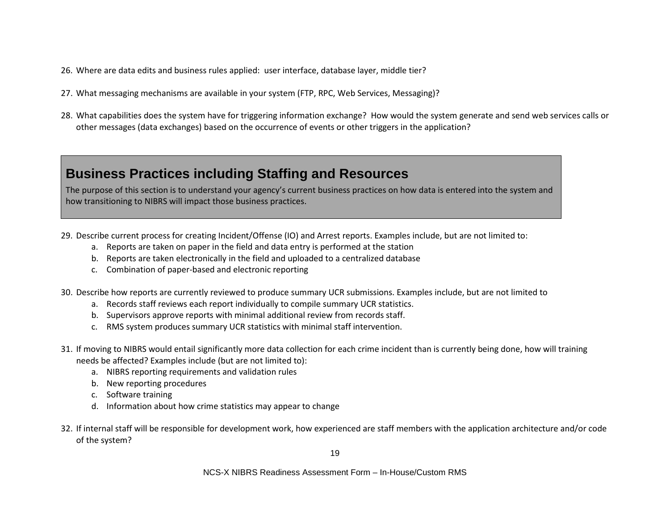- 26. Where are data edits and business rules applied: user interface, database layer, middle tier?
- 27. What messaging mechanisms are available in your system (FTP, RPC, Web Services, Messaging)?
- 28. What capabilities does the system have for triggering information exchange? How would the system generate and send web services calls or other messages (data exchanges) based on the occurrence of events or other triggers in the application?

#### **Business Practices including Staffing and Resources**

The purpose of this section is to understand your agency's current business practices on how data is entered into the system and how transitioning to NIBRS will impact those business practices.

- 29. Describe current process for creating Incident/Offense (IO) and Arrest reports. Examples include, but are not limited to:
	- a. Reports are taken on paper in the field and data entry is performed at the station
	- b. Reports are taken electronically in the field and uploaded to a centralized database
	- c. Combination of paper-based and electronic reporting
- 30. Describe how reports are currently reviewed to produce summary UCR submissions. Examples include, but are not limited to
	- a. Records staff reviews each report individually to compile summary UCR statistics.
	- b. Supervisors approve reports with minimal additional review from records staff.
	- c. RMS system produces summary UCR statistics with minimal staff intervention.
- 31. If moving to NIBRS would entail significantly more data collection for each crime incident than is currently being done, how will training needs be affected? Examples include (but are not limited to):
	- a. NIBRS reporting requirements and validation rules
	- b. New reporting procedures
	- c. Software training
	- d. Information about how crime statistics may appear to change
- 32. If internal staff will be responsible for development work, how experienced are staff members with the application architecture and/or code of the system?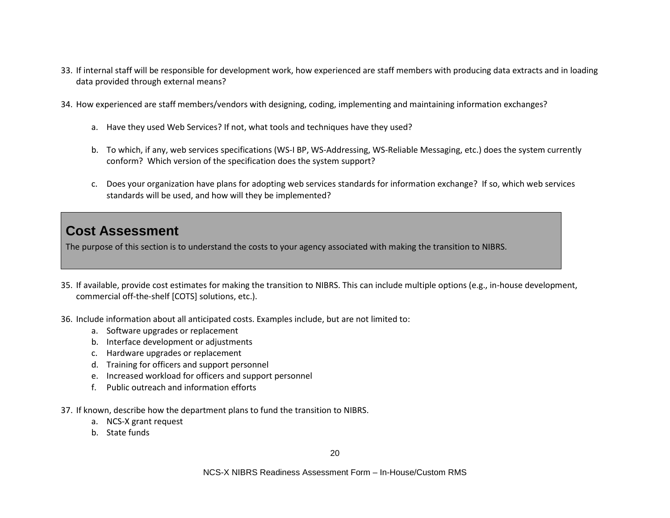- 33. If internal staff will be responsible for development work, how experienced are staff members with producing data extracts and in loading data provided through external means?
- 34. How experienced are staff members/vendors with designing, coding, implementing and maintaining information exchanges?
	- a. Have they used Web Services? If not, what tools and techniques have they used?
	- b. To which, if any, web services specifications (WS-I BP, WS-Addressing, WS-Reliable Messaging, etc.) does the system currently conform? Which version of the specification does the system support?
	- c. Does your organization have plans for adopting web services standards for information exchange? If so, which web services standards will be used, and how will they be implemented?

#### **Cost Assessment**

The purpose of this section is to understand the costs to your agency associated with making the transition to NIBRS.

- 35. If available, provide cost estimates for making the transition to NIBRS. This can include multiple options (e.g., in-house development, commercial off-the-shelf [COTS] solutions, etc.).
- 36. Include information about all anticipated costs. Examples include, but are not limited to:
	- a. Software upgrades or replacement
	- b. Interface development or adjustments
	- c. Hardware upgrades or replacement
	- d. Training for officers and support personnel
	- e. Increased workload for officers and support personnel
	- f. Public outreach and information efforts
- 37. If known, describe how the department plans to fund the transition to NIBRS.
	- a. NCS-X grant request
	- b. State funds